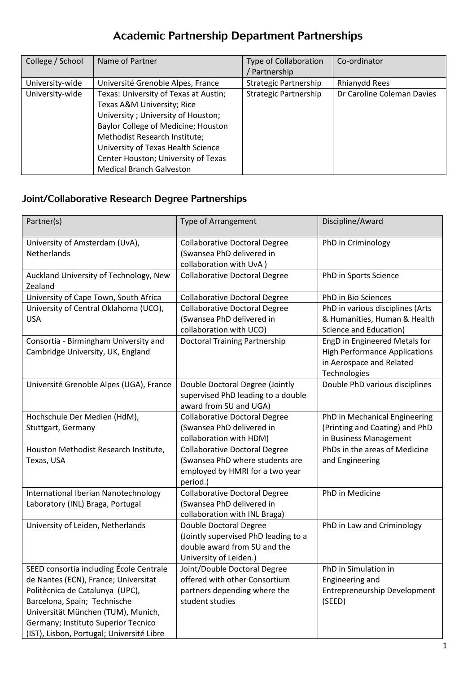# Academic Partnership Department Partnerships

| College / School | Name of Partner                       | Type of Collaboration<br>Partnership | Co-ordinator               |
|------------------|---------------------------------------|--------------------------------------|----------------------------|
|                  |                                       |                                      |                            |
| University-wide  | Université Grenoble Alpes, France     | Strategic Partnership                | <b>Rhianydd Rees</b>       |
| University-wide  | Texas: University of Texas at Austin; | <b>Strategic Partnership</b>         | Dr Caroline Coleman Davies |
|                  | Texas A&M University; Rice            |                                      |                            |
|                  | University ; University of Houston;   |                                      |                            |
|                  | Baylor College of Medicine; Houston   |                                      |                            |
|                  | Methodist Research Institute;         |                                      |                            |
|                  | University of Texas Health Science    |                                      |                            |
|                  | Center Houston; University of Texas   |                                      |                            |
|                  | <b>Medical Branch Galveston</b>       |                                      |                            |

## Joint/Collaborative Research Degree Partnerships

| Partner(s)                                                                                                                                                                                                                                                                   | <b>Type of Arrangement</b>                                                                                               | Discipline/Award                                                                                                  |
|------------------------------------------------------------------------------------------------------------------------------------------------------------------------------------------------------------------------------------------------------------------------------|--------------------------------------------------------------------------------------------------------------------------|-------------------------------------------------------------------------------------------------------------------|
| University of Amsterdam (UvA),<br>Netherlands                                                                                                                                                                                                                                | <b>Collaborative Doctoral Degree</b><br>(Swansea PhD delivered in<br>collaboration with UvA)                             | PhD in Criminology                                                                                                |
| Auckland University of Technology, New<br>Zealand                                                                                                                                                                                                                            | <b>Collaborative Doctoral Degree</b>                                                                                     | PhD in Sports Science                                                                                             |
| University of Cape Town, South Africa                                                                                                                                                                                                                                        | <b>Collaborative Doctoral Degree</b>                                                                                     | PhD in Bio Sciences                                                                                               |
| University of Central Oklahoma (UCO),<br><b>USA</b>                                                                                                                                                                                                                          | <b>Collaborative Doctoral Degree</b><br>(Swansea PhD delivered in<br>collaboration with UCO)                             | PhD in various disciplines (Arts<br>& Humanities, Human & Health<br>Science and Education)                        |
| Consortia - Birmingham University and<br>Cambridge University, UK, England                                                                                                                                                                                                   | <b>Doctoral Training Partnership</b>                                                                                     | EngD in Engineered Metals for<br><b>High Performance Applications</b><br>in Aerospace and Related<br>Technologies |
| Université Grenoble Alpes (UGA), France                                                                                                                                                                                                                                      | Double Doctoral Degree (Jointly<br>supervised PhD leading to a double<br>award from SU and UGA)                          | Double PhD various disciplines                                                                                    |
| Hochschule Der Medien (HdM),<br>Stuttgart, Germany                                                                                                                                                                                                                           | <b>Collaborative Doctoral Degree</b><br>(Swansea PhD delivered in<br>collaboration with HDM)                             | PhD in Mechanical Engineering<br>(Printing and Coating) and PhD<br>in Business Management                         |
| Houston Methodist Research Institute,<br>Texas, USA                                                                                                                                                                                                                          | <b>Collaborative Doctoral Degree</b><br>(Swansea PhD where students are<br>employed by HMRI for a two year<br>period.)   | PhDs in the areas of Medicine<br>and Engineering                                                                  |
| International Iberian Nanotechnology<br>Laboratory (INL) Braga, Portugal                                                                                                                                                                                                     | <b>Collaborative Doctoral Degree</b><br>(Swansea PhD delivered in<br>collaboration with INL Braga)                       | PhD in Medicine                                                                                                   |
| University of Leiden, Netherlands                                                                                                                                                                                                                                            | Double Doctoral Degree<br>(Jointly supervised PhD leading to a<br>double award from SU and the<br>University of Leiden.) | PhD in Law and Criminology                                                                                        |
| SEED consortia including École Centrale<br>de Nantes (ECN), France; Universitat<br>Politècnica de Catalunya (UPC),<br>Barcelona, Spain; Technische<br>Universität München (TUM), Munich,<br>Germany; Instituto Superior Tecnico<br>(IST), Lisbon, Portugal; Université Libre | Joint/Double Doctoral Degree<br>offered with other Consortium<br>partners depending where the<br>student studies         | PhD in Simulation in<br>Engineering and<br>Entrepreneurship Development<br>(SEED)                                 |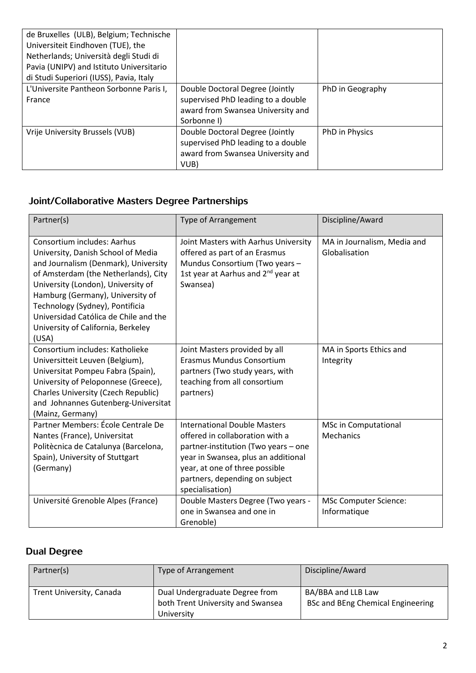| de Bruxelles (ULB), Belgium; Technische<br>Universiteit Eindhoven (TUE), the<br>Netherlands; Università degli Studi di<br>Pavia (UNIPV) and Istituto Universitario<br>di Studi Superiori (IUSS), Pavia, Italy |                                                                                                                           |                  |
|---------------------------------------------------------------------------------------------------------------------------------------------------------------------------------------------------------------|---------------------------------------------------------------------------------------------------------------------------|------------------|
| L'Universite Pantheon Sorbonne Paris I,<br>France                                                                                                                                                             | Double Doctoral Degree (Jointly<br>supervised PhD leading to a double<br>award from Swansea University and<br>Sorbonne I) | PhD in Geography |
| Vrije University Brussels (VUB)                                                                                                                                                                               | Double Doctoral Degree (Jointly<br>supervised PhD leading to a double<br>award from Swansea University and<br>VUB)        | PhD in Physics   |

## Joint/Collaborative Masters Degree Partnerships

| Partner(s)                                                                                                                                                                                                                                                                                                                                             | <b>Type of Arrangement</b>                                                                                                                                                                                                                   | Discipline/Award                             |
|--------------------------------------------------------------------------------------------------------------------------------------------------------------------------------------------------------------------------------------------------------------------------------------------------------------------------------------------------------|----------------------------------------------------------------------------------------------------------------------------------------------------------------------------------------------------------------------------------------------|----------------------------------------------|
| Consortium includes: Aarhus<br>University, Danish School of Media<br>and Journalism (Denmark), University<br>of Amsterdam (the Netherlands), City<br>University (London), University of<br>Hamburg (Germany), University of<br>Technology (Sydney), Pontificia<br>Universidad Católica de Chile and the<br>University of California, Berkeley<br>(USA) | Joint Masters with Aarhus University<br>offered as part of an Erasmus<br>Mundus Consortium (Two years -<br>1st year at Aarhus and 2 <sup>nd</sup> year at<br>Swansea)                                                                        | MA in Journalism, Media and<br>Globalisation |
| Consortium includes: Katholieke<br>Universitteit Leuven (Belgium),<br>Universitat Pompeu Fabra (Spain),<br>University of Peloponnese (Greece),<br><b>Charles University (Czech Republic)</b><br>and Johnannes Gutenberg-Universitat<br>(Mainz, Germany)                                                                                                | Joint Masters provided by all<br><b>Erasmus Mundus Consortium</b><br>partners (Two study years, with<br>teaching from all consortium<br>partners)                                                                                            | MA in Sports Ethics and<br>Integrity         |
| Partner Members: École Centrale De<br>Nantes (France), Universitat<br>Politècnica de Catalunya (Barcelona,<br>Spain), University of Stuttgart<br>(Germany)                                                                                                                                                                                             | <b>International Double Masters</b><br>offered in collaboration with a<br>partner-institution (Two years - one<br>year in Swansea, plus an additional<br>year, at one of three possible<br>partners, depending on subject<br>specialisation) | <b>MSc in Computational</b><br>Mechanics     |
| Université Grenoble Alpes (France)                                                                                                                                                                                                                                                                                                                     | Double Masters Degree (Two years -<br>one in Swansea and one in<br>Grenoble)                                                                                                                                                                 | <b>MSc Computer Science:</b><br>Informatique |

## Dual Degree

| Partner(s)               | <b>Type of Arrangement</b>                                                        | Discipline/Award                                        |
|--------------------------|-----------------------------------------------------------------------------------|---------------------------------------------------------|
| Trent University, Canada | Dual Undergraduate Degree from<br>both Trent University and Swansea<br>University | BA/BBA and LLB Law<br>BSc and BEng Chemical Engineering |